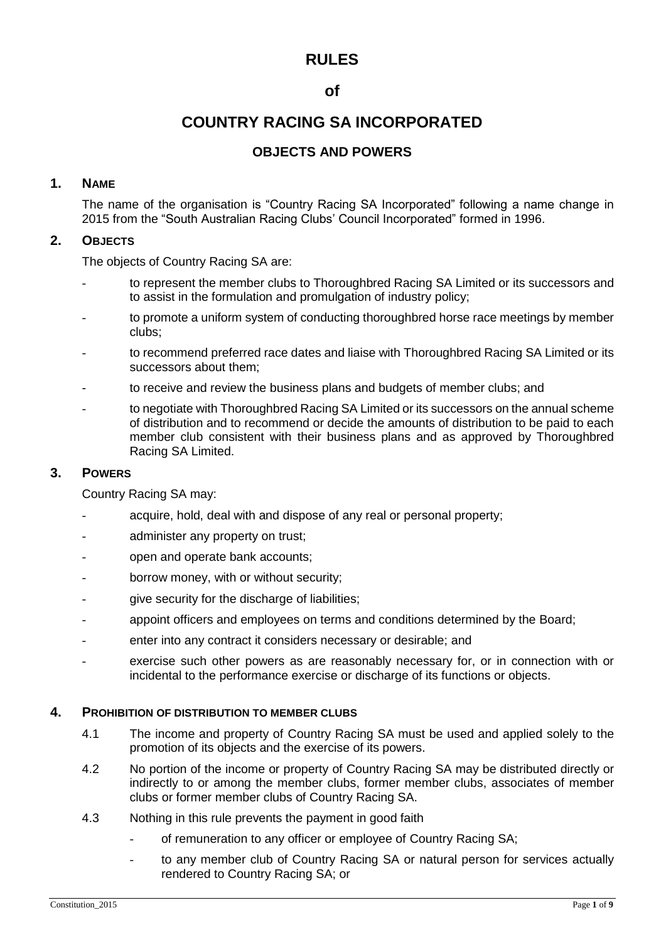# **RULES**

# **of**

# **COUNTRY RACING SA INCORPORATED**

# **OBJECTS AND POWERS**

### **1. NAME**

The name of the organisation is "Country Racing SA Incorporated" following a name change in 2015 from the "South Australian Racing Clubs' Council Incorporated" formed in 1996.

# **2. OBJECTS**

The objects of Country Racing SA are:

- to represent the member clubs to Thoroughbred Racing SA Limited or its successors and to assist in the formulation and promulgation of industry policy;
- to promote a uniform system of conducting thoroughbred horse race meetings by member clubs;
- to recommend preferred race dates and liaise with Thoroughbred Racing SA Limited or its successors about them;
- to receive and review the business plans and budgets of member clubs; and
- to negotiate with Thoroughbred Racing SA Limited or its successors on the annual scheme of distribution and to recommend or decide the amounts of distribution to be paid to each member club consistent with their business plans and as approved by Thoroughbred Racing SA Limited.

### **3. POWERS**

Country Racing SA may:

- acquire, hold, deal with and dispose of any real or personal property;
- administer any property on trust;
- open and operate bank accounts;
- borrow money, with or without security;
- give security for the discharge of liabilities;
- appoint officers and employees on terms and conditions determined by the Board;
- enter into any contract it considers necessary or desirable; and
- exercise such other powers as are reasonably necessary for, or in connection with or incidental to the performance exercise or discharge of its functions or objects.

#### **4. PROHIBITION OF DISTRIBUTION TO MEMBER CLUBS**

- 4.1 The income and property of Country Racing SA must be used and applied solely to the promotion of its objects and the exercise of its powers.
- 4.2 No portion of the income or property of Country Racing SA may be distributed directly or indirectly to or among the member clubs, former member clubs, associates of member clubs or former member clubs of Country Racing SA.
- 4.3 Nothing in this rule prevents the payment in good faith
	- of remuneration to any officer or employee of Country Racing SA;
	- to any member club of Country Racing SA or natural person for services actually rendered to Country Racing SA; or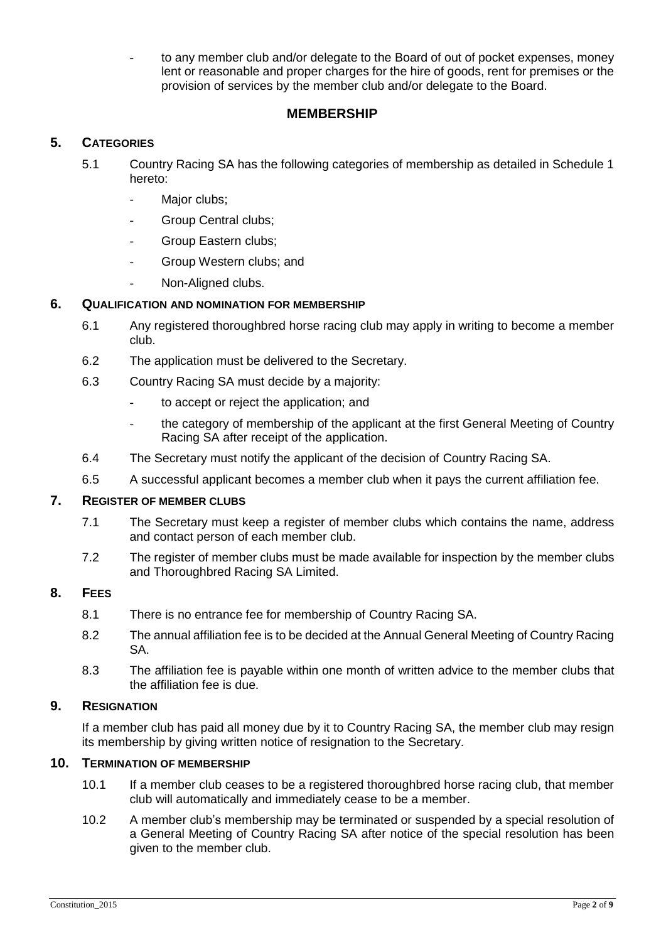to any member club and/or delegate to the Board of out of pocket expenses, money lent or reasonable and proper charges for the hire of goods, rent for premises or the provision of services by the member club and/or delegate to the Board.

# **MEMBERSHIP**

# **5. CATEGORIES**

- 5.1 Country Racing SA has the following categories of membership as detailed in Schedule 1 hereto:
	- Major clubs;
	- Group Central clubs;
	- Group Eastern clubs:
	- Group Western clubs; and
	- Non-Aligned clubs.

### **6. QUALIFICATION AND NOMINATION FOR MEMBERSHIP**

- 6.1 Any registered thoroughbred horse racing club may apply in writing to become a member club.
- 6.2 The application must be delivered to the Secretary.
- 6.3 Country Racing SA must decide by a majority:
	- to accept or reject the application; and
	- the category of membership of the applicant at the first General Meeting of Country Racing SA after receipt of the application.
- 6.4 The Secretary must notify the applicant of the decision of Country Racing SA.
- 6.5 A successful applicant becomes a member club when it pays the current affiliation fee.

### **7. REGISTER OF MEMBER CLUBS**

- 7.1 The Secretary must keep a register of member clubs which contains the name, address and contact person of each member club.
- 7.2 The register of member clubs must be made available for inspection by the member clubs and Thoroughbred Racing SA Limited.

# **8. FEES**

- 8.1 There is no entrance fee for membership of Country Racing SA.
- 8.2 The annual affiliation fee is to be decided at the Annual General Meeting of Country Racing SA.
- 8.3 The affiliation fee is payable within one month of written advice to the member clubs that the affiliation fee is due.

# **9. RESIGNATION**

If a member club has paid all money due by it to Country Racing SA, the member club may resign its membership by giving written notice of resignation to the Secretary.

### **10. TERMINATION OF MEMBERSHIP**

- 10.1 If a member club ceases to be a registered thoroughbred horse racing club, that member club will automatically and immediately cease to be a member.
- 10.2 A member club's membership may be terminated or suspended by a special resolution of a General Meeting of Country Racing SA after notice of the special resolution has been given to the member club.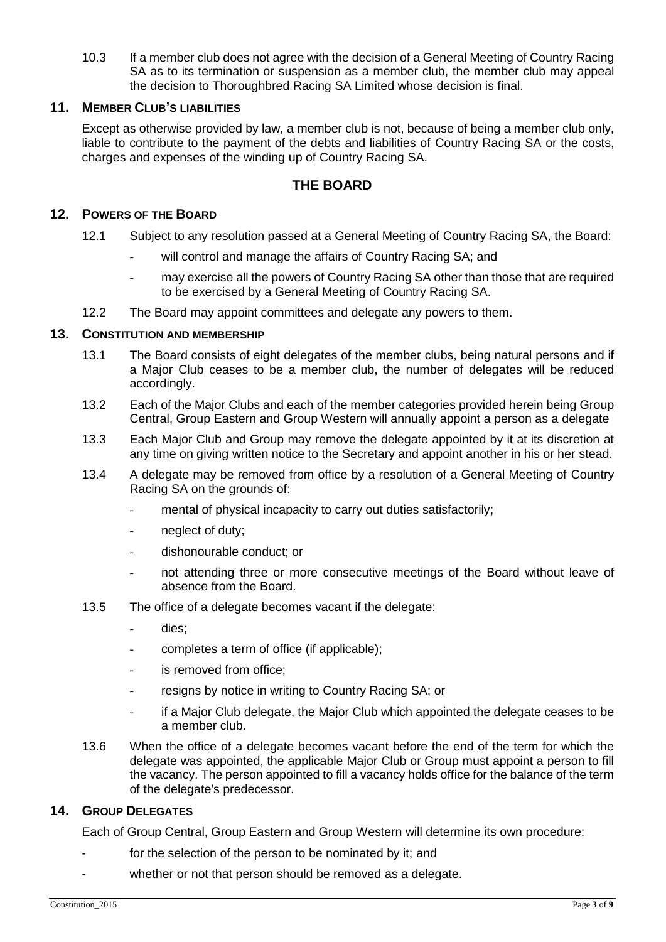10.3 If a member club does not agree with the decision of a General Meeting of Country Racing SA as to its termination or suspension as a member club, the member club may appeal the decision to Thoroughbred Racing SA Limited whose decision is final.

## **11. MEMBER CLUB'S LIABILITIES**

Except as otherwise provided by law, a member club is not, because of being a member club only, liable to contribute to the payment of the debts and liabilities of Country Racing SA or the costs, charges and expenses of the winding up of Country Racing SA.

# **THE BOARD**

# **12. POWERS OF THE BOARD**

- 12.1 Subject to any resolution passed at a General Meeting of Country Racing SA, the Board:
	- will control and manage the affairs of Country Racing SA; and
	- may exercise all the powers of Country Racing SA other than those that are required to be exercised by a General Meeting of Country Racing SA.
- 12.2 The Board may appoint committees and delegate any powers to them.

#### **13. CONSTITUTION AND MEMBERSHIP**

- 13.1 The Board consists of eight delegates of the member clubs, being natural persons and if a Major Club ceases to be a member club, the number of delegates will be reduced accordingly.
- 13.2 Each of the Major Clubs and each of the member categories provided herein being Group Central, Group Eastern and Group Western will annually appoint a person as a delegate
- 13.3 Each Major Club and Group may remove the delegate appointed by it at its discretion at any time on giving written notice to the Secretary and appoint another in his or her stead.
- 13.4 A delegate may be removed from office by a resolution of a General Meeting of Country Racing SA on the grounds of:
	- mental of physical incapacity to carry out duties satisfactorily;
	- neglect of duty;
	- dishonourable conduct; or
	- not attending three or more consecutive meetings of the Board without leave of absence from the Board.
- 13.5 The office of a delegate becomes vacant if the delegate:
	- dies:
	- completes a term of office (if applicable);
	- is removed from office;
	- resigns by notice in writing to Country Racing SA; or
	- if a Major Club delegate, the Major Club which appointed the delegate ceases to be a member club.
- 13.6 When the office of a delegate becomes vacant before the end of the term for which the delegate was appointed, the applicable Major Club or Group must appoint a person to fill the vacancy. The person appointed to fill a vacancy holds office for the balance of the term of the delegate's predecessor.

# **14. GROUP DELEGATES**

Each of Group Central, Group Eastern and Group Western will determine its own procedure:

- for the selection of the person to be nominated by it; and
- whether or not that person should be removed as a delegate.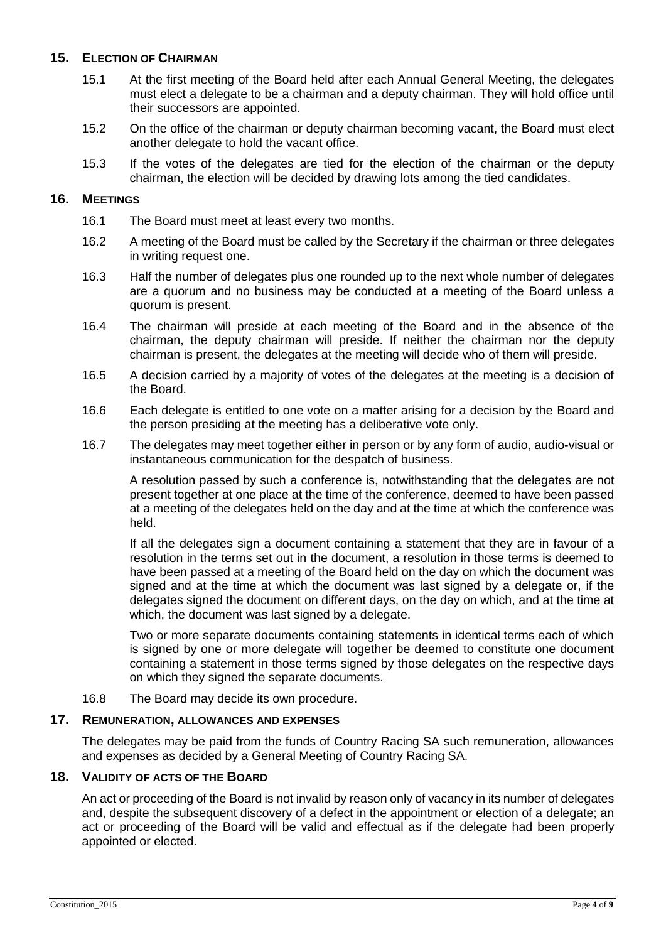# **15. ELECTION OF CHAIRMAN**

- 15.1 At the first meeting of the Board held after each Annual General Meeting, the delegates must elect a delegate to be a chairman and a deputy chairman. They will hold office until their successors are appointed.
- 15.2 On the office of the chairman or deputy chairman becoming vacant, the Board must elect another delegate to hold the vacant office.
- 15.3 If the votes of the delegates are tied for the election of the chairman or the deputy chairman, the election will be decided by drawing lots among the tied candidates.

# **16. MEETINGS**

- 16.1 The Board must meet at least every two months.
- 16.2 A meeting of the Board must be called by the Secretary if the chairman or three delegates in writing request one.
- 16.3 Half the number of delegates plus one rounded up to the next whole number of delegates are a quorum and no business may be conducted at a meeting of the Board unless a quorum is present.
- 16.4 The chairman will preside at each meeting of the Board and in the absence of the chairman, the deputy chairman will preside. If neither the chairman nor the deputy chairman is present, the delegates at the meeting will decide who of them will preside.
- 16.5 A decision carried by a majority of votes of the delegates at the meeting is a decision of the Board.
- 16.6 Each delegate is entitled to one vote on a matter arising for a decision by the Board and the person presiding at the meeting has a deliberative vote only.
- 16.7 The delegates may meet together either in person or by any form of audio, audio-visual or instantaneous communication for the despatch of business.

A resolution passed by such a conference is, notwithstanding that the delegates are not present together at one place at the time of the conference, deemed to have been passed at a meeting of the delegates held on the day and at the time at which the conference was held.

If all the delegates sign a document containing a statement that they are in favour of a resolution in the terms set out in the document, a resolution in those terms is deemed to have been passed at a meeting of the Board held on the day on which the document was signed and at the time at which the document was last signed by a delegate or, if the delegates signed the document on different days, on the day on which, and at the time at which, the document was last signed by a delegate.

Two or more separate documents containing statements in identical terms each of which is signed by one or more delegate will together be deemed to constitute one document containing a statement in those terms signed by those delegates on the respective days on which they signed the separate documents.

16.8 The Board may decide its own procedure.

### **17. REMUNERATION, ALLOWANCES AND EXPENSES**

The delegates may be paid from the funds of Country Racing SA such remuneration, allowances and expenses as decided by a General Meeting of Country Racing SA.

### **18. VALIDITY OF ACTS OF THE BOARD**

An act or proceeding of the Board is not invalid by reason only of vacancy in its number of delegates and, despite the subsequent discovery of a defect in the appointment or election of a delegate; an act or proceeding of the Board will be valid and effectual as if the delegate had been properly appointed or elected.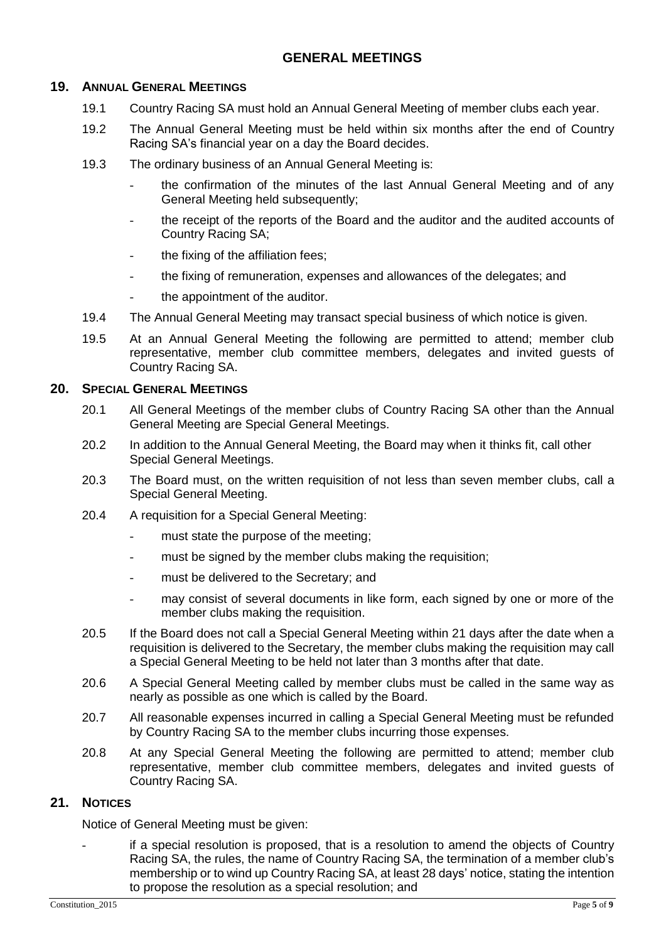# **GENERAL MEETINGS**

## **19. ANNUAL GENERAL MEETINGS**

- 19.1 Country Racing SA must hold an Annual General Meeting of member clubs each year.
- 19.2 The Annual General Meeting must be held within six months after the end of Country Racing SA's financial year on a day the Board decides.
- 19.3 The ordinary business of an Annual General Meeting is:
	- the confirmation of the minutes of the last Annual General Meeting and of any General Meeting held subsequently;
	- the receipt of the reports of the Board and the auditor and the audited accounts of Country Racing SA;
	- the fixing of the affiliation fees;
	- the fixing of remuneration, expenses and allowances of the delegates; and
	- the appointment of the auditor.
- 19.4 The Annual General Meeting may transact special business of which notice is given.
- 19.5 At an Annual General Meeting the following are permitted to attend; member club representative, member club committee members, delegates and invited guests of Country Racing SA.

## **20. SPECIAL GENERAL MEETINGS**

- 20.1 All General Meetings of the member clubs of Country Racing SA other than the Annual General Meeting are Special General Meetings.
- 20.2 In addition to the Annual General Meeting, the Board may when it thinks fit, call other Special General Meetings.
- 20.3 The Board must, on the written requisition of not less than seven member clubs, call a Special General Meeting.
- 20.4 A requisition for a Special General Meeting:
	- must state the purpose of the meeting;
	- must be signed by the member clubs making the requisition;
	- must be delivered to the Secretary; and
	- may consist of several documents in like form, each signed by one or more of the member clubs making the requisition.
- 20.5 If the Board does not call a Special General Meeting within 21 days after the date when a requisition is delivered to the Secretary, the member clubs making the requisition may call a Special General Meeting to be held not later than 3 months after that date.
- 20.6 A Special General Meeting called by member clubs must be called in the same way as nearly as possible as one which is called by the Board.
- 20.7 All reasonable expenses incurred in calling a Special General Meeting must be refunded by Country Racing SA to the member clubs incurring those expenses.
- 20.8 At any Special General Meeting the following are permitted to attend; member club representative, member club committee members, delegates and invited guests of Country Racing SA.

# **21. NOTICES**

Notice of General Meeting must be given:

if a special resolution is proposed, that is a resolution to amend the objects of Country Racing SA, the rules, the name of Country Racing SA, the termination of a member club's membership or to wind up Country Racing SA, at least 28 days' notice, stating the intention to propose the resolution as a special resolution; and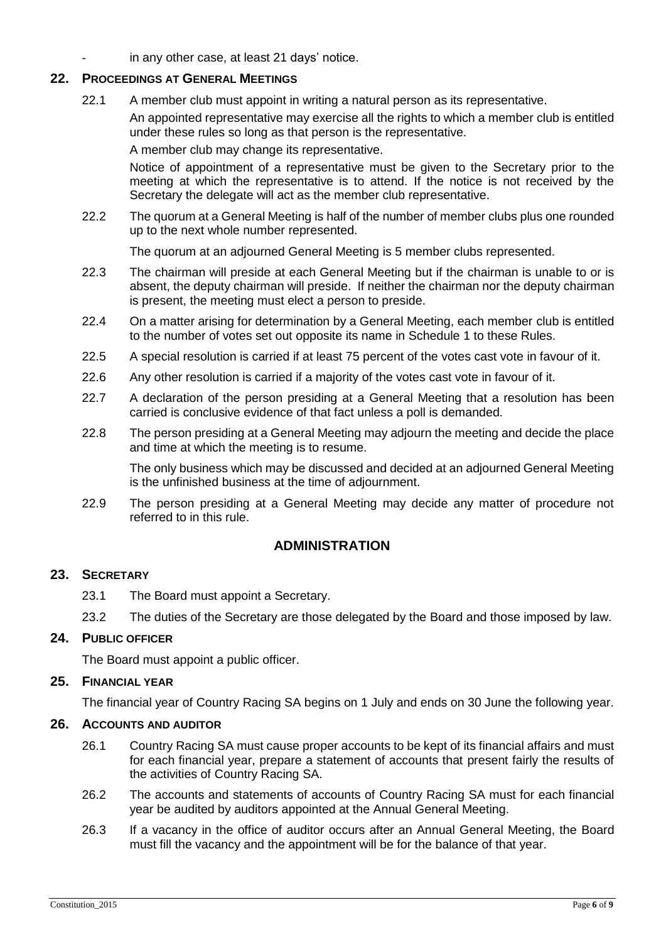in any other case, at least 21 days' notice.

# **22. PROCEEDINGS AT GENERAL MEETINGS**

22.1 A member club must appoint in writing a natural person as its representative.

An appointed representative may exercise all the rights to which a member club is entitled under these rules so long as that person is the representative.

A member club may change its representative.

Notice of appointment of a representative must be given to the Secretary prior to the meeting at which the representative is to attend. If the notice is not received by the Secretary the delegate will act as the member club representative.

22.2 The quorum at a General Meeting is half of the number of member clubs plus one rounded up to the next whole number represented.

The quorum at an adjourned General Meeting is 5 member clubs represented.

- 22.3 The chairman will preside at each General Meeting but if the chairman is unable to or is absent, the deputy chairman will preside. If neither the chairman nor the deputy chairman is present, the meeting must elect a person to preside.
- 22.4 On a matter arising for determination by a General Meeting, each member club is entitled to the number of votes set out opposite its name in Schedule 1 to these Rules.
- 22.5 A special resolution is carried if at least 75 percent of the votes cast vote in favour of it.
- 22.6 Any other resolution is carried if a majority of the votes cast vote in favour of it.
- 22.7 A declaration of the person presiding at a General Meeting that a resolution has been carried is conclusive evidence of that fact unless a poll is demanded.
- 22.8 The person presiding at a General Meeting may adjourn the meeting and decide the place and time at which the meeting is to resume.

The only business which may be discussed and decided at an adjourned General Meeting is the unfinished business at the time of adjournment.

22.9 The person presiding at a General Meeting may decide any matter of procedure not referred to in this rule.

# **ADMINISTRATION**

# **23. SECRETARY**

- 23.1 The Board must appoint a Secretary.
- 23.2 The duties of the Secretary are those delegated by the Board and those imposed by law.

# **24. PUBLIC OFFICER**

The Board must appoint a public officer.

# **25. FINANCIAL YEAR**

The financial year of Country Racing SA begins on 1 July and ends on 30 June the following year.

# **26. ACCOUNTS AND AUDITOR**

- 26.1 Country Racing SA must cause proper accounts to be kept of its financial affairs and must for each financial year, prepare a statement of accounts that present fairly the results of the activities of Country Racing SA.
- 26.2 The accounts and statements of accounts of Country Racing SA must for each financial year be audited by auditors appointed at the Annual General Meeting.
- 26.3 If a vacancy in the office of auditor occurs after an Annual General Meeting, the Board must fill the vacancy and the appointment will be for the balance of that year.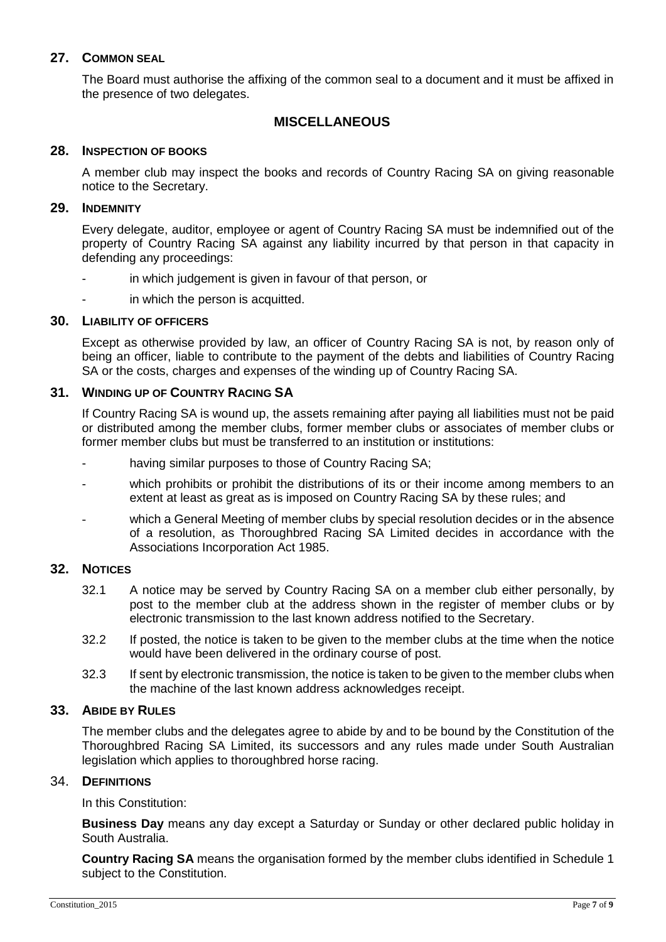# **27. COMMON SEAL**

The Board must authorise the affixing of the common seal to a document and it must be affixed in the presence of two delegates.

## **MISCELLANEOUS**

#### **28. INSPECTION OF BOOKS**

A member club may inspect the books and records of Country Racing SA on giving reasonable notice to the Secretary.

#### **29. INDEMNITY**

Every delegate, auditor, employee or agent of Country Racing SA must be indemnified out of the property of Country Racing SA against any liability incurred by that person in that capacity in defending any proceedings:

- in which judgement is given in favour of that person, or
- in which the person is acquitted.

#### **30. LIABILITY OF OFFICERS**

Except as otherwise provided by law, an officer of Country Racing SA is not, by reason only of being an officer, liable to contribute to the payment of the debts and liabilities of Country Racing SA or the costs, charges and expenses of the winding up of Country Racing SA.

#### **31. WINDING UP OF COUNTRY RACING SA**

If Country Racing SA is wound up, the assets remaining after paying all liabilities must not be paid or distributed among the member clubs, former member clubs or associates of member clubs or former member clubs but must be transferred to an institution or institutions:

- having similar purposes to those of Country Racing SA;
- which prohibits or prohibit the distributions of its or their income among members to an extent at least as great as is imposed on Country Racing SA by these rules; and
- which a General Meeting of member clubs by special resolution decides or in the absence of a resolution, as Thoroughbred Racing SA Limited decides in accordance with the Associations Incorporation Act 1985.

# **32. NOTICES**

- 32.1 A notice may be served by Country Racing SA on a member club either personally, by post to the member club at the address shown in the register of member clubs or by electronic transmission to the last known address notified to the Secretary.
- 32.2 If posted, the notice is taken to be given to the member clubs at the time when the notice would have been delivered in the ordinary course of post.
- 32.3 If sent by electronic transmission, the notice is taken to be given to the member clubs when the machine of the last known address acknowledges receipt.

### **33. ABIDE BY RULES**

The member clubs and the delegates agree to abide by and to be bound by the Constitution of the Thoroughbred Racing SA Limited, its successors and any rules made under South Australian legislation which applies to thoroughbred horse racing.

### 34. **DEFINITIONS**

In this Constitution:

**Business Day** means any day except a Saturday or Sunday or other declared public holiday in South Australia.

**Country Racing SA** means the organisation formed by the member clubs identified in Schedule 1 subject to the Constitution.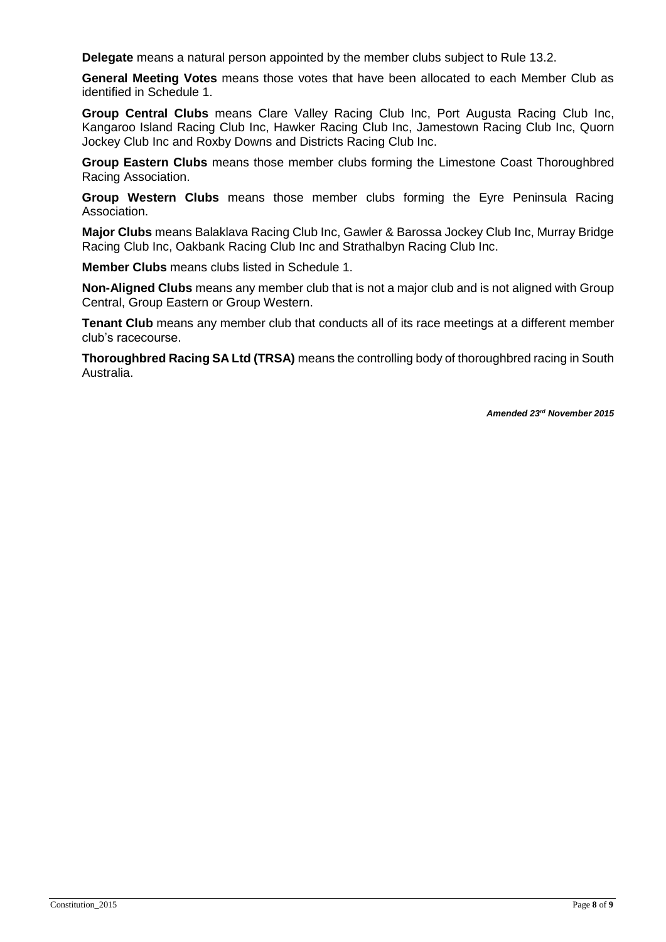**Delegate** means a natural person appointed by the member clubs subject to Rule 13.2.

**General Meeting Votes** means those votes that have been allocated to each Member Club as identified in Schedule 1.

**Group Central Clubs** means Clare Valley Racing Club Inc, Port Augusta Racing Club Inc, Kangaroo Island Racing Club Inc, Hawker Racing Club Inc, Jamestown Racing Club Inc, Quorn Jockey Club Inc and Roxby Downs and Districts Racing Club Inc.

**Group Eastern Clubs** means those member clubs forming the Limestone Coast Thoroughbred Racing Association.

**Group Western Clubs** means those member clubs forming the Eyre Peninsula Racing Association.

**Major Clubs** means Balaklava Racing Club Inc, Gawler & Barossa Jockey Club Inc, Murray Bridge Racing Club Inc, Oakbank Racing Club Inc and Strathalbyn Racing Club Inc.

**Member Clubs** means clubs listed in Schedule 1.

**Non-Aligned Clubs** means any member club that is not a major club and is not aligned with Group Central, Group Eastern or Group Western.

**Tenant Club** means any member club that conducts all of its race meetings at a different member club's racecourse.

**Thoroughbred Racing SA Ltd (TRSA)** means the controlling body of thoroughbred racing in South Australia.

*Amended 23rd November 2015*